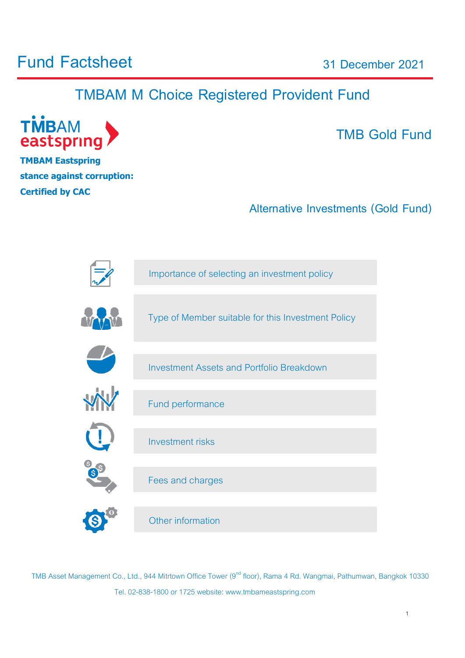# **Fund Factsheet**

**31 December 2021**

# **TMBAM M Choice Registered Provident Fund**



**TMBAM Eastspring stance against corruption: Certified by [CAC](http://www.thai-cac.com/th)**

# **TMB Gold Fund**

1

**Alternative Investments (Gold Fund)**



TMB Asset Management Co., Ltd., 944 Mitrtown Office Tower (9<sup>nd</sup> floor), Rama 4 Rd. Wangmai, Pathumwan, Bangkok 10330 Tel. 02-838-1800 or 1725 website: www.tmbameastspring.com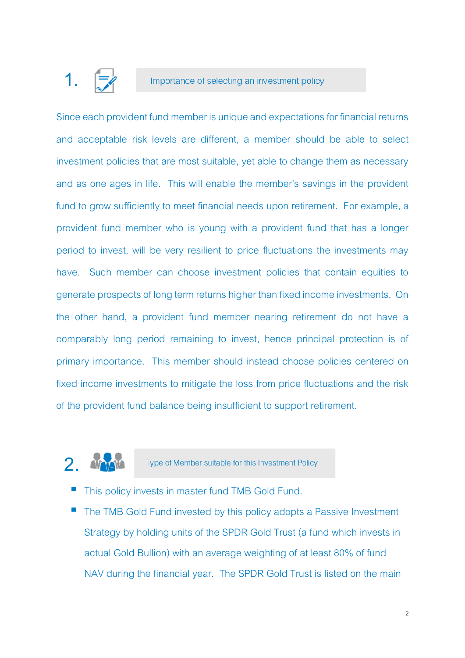# **1.**

#### Importance of selecting an investment policy

Since each provident fund member is unique and expectations for financial returns and acceptable risk levels are different, a member should be able to select investment policies that are most suitable, yet able to change them as necessary and as one ages in life. This will enable the member's savings in the provident fund to grow sufficiently to meet financial needs upon retirement. For example, a provident fund member who is young with a provident fund that has a longer period to invest, will be very resilient to price fluctuations the investments may have. Such member can choose investment policies that contain equities to generate prospects of long term returns higher than fixed income investments. On the other hand, a provident fund member nearing retirement do not have a comparably long period remaining to invest, hence principal protection is of primary importance. This member should instead choose policies centered on fixed income investments to mitigate the loss from price fluctuations and the risk of the provident fund balance being insufficient to support retirement.

# **2.**

Type of Member suitable for this Investment Policy

- This policy invests in master fund TMB Gold Fund.
- The TMB Gold Fund invested by this policy adopts a Passive Investment Strategy by holding units of the SPDR Gold Trust (a fund which invests in actual Gold Bullion) with an average weighting of at least 80% of fund NAV during the financial year. The SPDR Gold Trust is listed on the main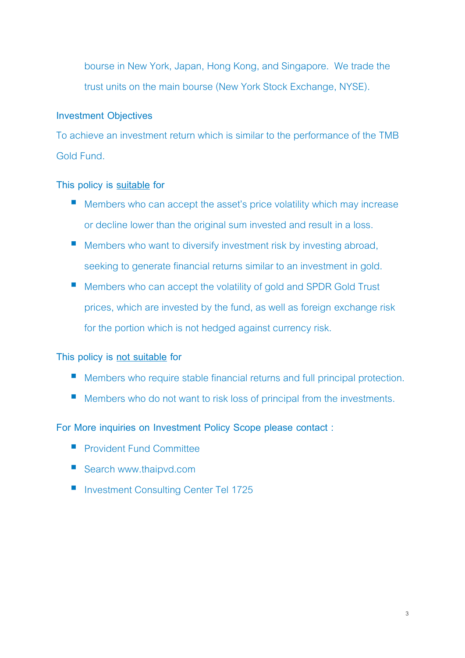bourse in New York, Japan, Hong Kong, and Singapore. We trade the trust units on the main bourse (New York Stock Exchange, NYSE).

#### **Investment Objectives**

To achieve an investment return which is similar to the performance of the TMB Gold Fund.

#### **This policy is suitable for**

- $\blacksquare$  Members who can accept the asset's price volatility which may increase or decline lower than the original sum invested and result in a loss.
- **Members who want to diversify investment risk by investing abroad,** seeking to generate financial returns similar to an investment in gold.
- **Members who can accept the volatility of gold and SPDR Gold Trust** prices, which are invested by the fund, as well as foreign exchange risk for the portion which is not hedged against currency risk.

#### **This policy is not suitable for**

- **Members who require stable financial returns and full principal protection.**
- Members who do not want to risk loss of principal from the investments.

#### **For More inquiries on Investment Policy Scope please contact :**

- **Provident Fund Committee**
- Search www.thaipvd.com
- Investment Consulting Center Tel 1725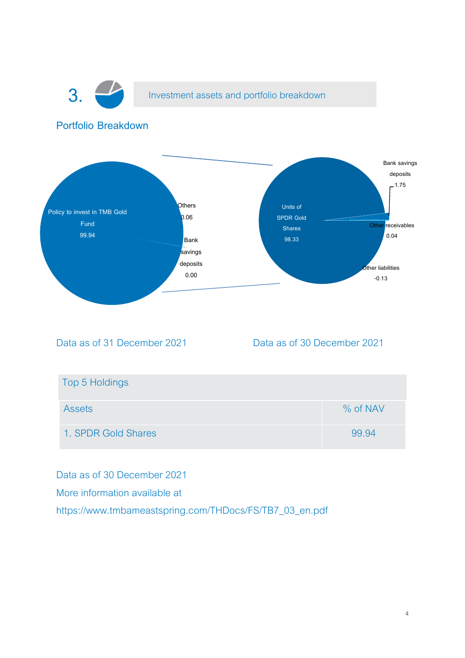

**3.** Investment assets and portfolio breakdown

#### **Portfolio Breakdown**



Data as of 31 December 2021 Data as of 30 December 2021

| Top 5 Holdings      |          |
|---------------------|----------|
| <b>Assets</b>       | % of NAV |
| 1. SPDR Gold Shares | 99.94    |

Data as of 30 December 2021 More information available at https://www.tmbameastspring.com/THDocs/FS/TB7\_03\_en.pdf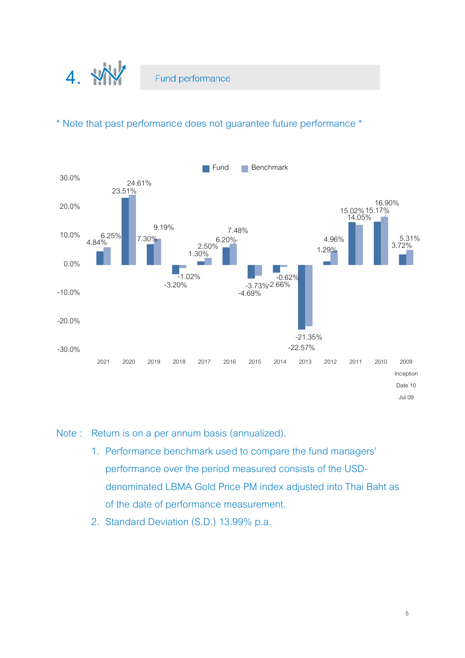

#### \* Note that past performance does not guarantee future performance \*



#### Note : Return is on a per annum basis (annualized).

- 1. Performance benchmark used to compare the fund managers' performance over the period measured consists of the USDdenominated LBMA Gold Price PM index adjusted into Thai Baht as of the date of performance measurement.
- 2. Standard Deviation (S.D.) 13.99% p.a.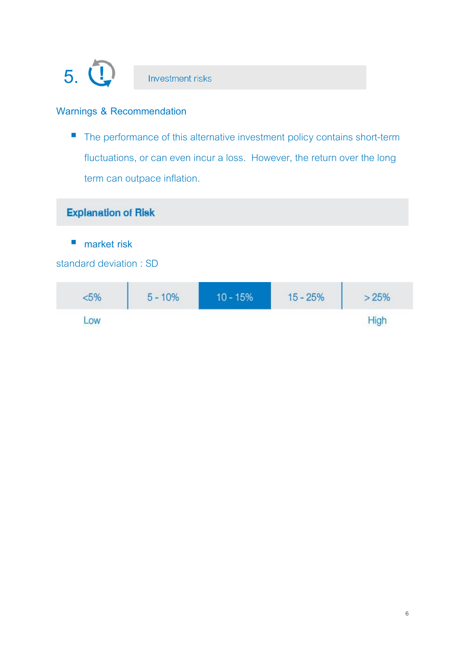

#### **Warnings & Recommendation**

■ The performance of this alternative investment policy contains short-term fluctuations, or can even incur a loss. However, the return over the long term can outpace inflation.

### **Explanation of Risk**

■ market risk

#### standard deviation : SD

| $5\%$                       | $5 - 10%$<br><b>RANGE COMMUNICATION</b> | $10 - 15%$ | $15 - 25%$ | 25% |
|-----------------------------|-----------------------------------------|------------|------------|-----|
| .OW<br><b>BASE &amp; SE</b> |                                         |            |            |     |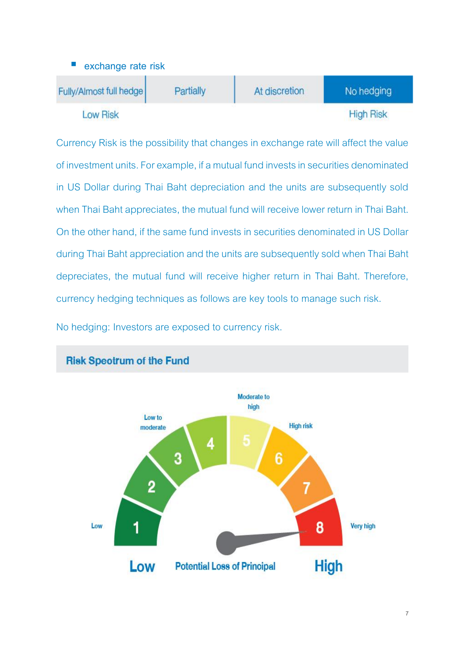

Currency Risk is the possibility that changes in exchange rate will affect the value of investment units. For example, if a mutual fund invests in securities denominated in US Dollar during Thai Baht depreciation and the units are subsequently sold when Thai Baht appreciates, the mutual fund will receive lower return in Thai Baht. On the other hand, if the same fund invests in securities denominated in US Dollar during Thai Baht appreciation and the units are subsequently sold when Thai Baht depreciates, the mutual fund will receive higher return in Thai Baht. Therefore, currency hedging techniques as follows are key tools to manage such risk.

No hedging: Investors are exposed to currency risk.



### **Risk Speotrum of the Fund**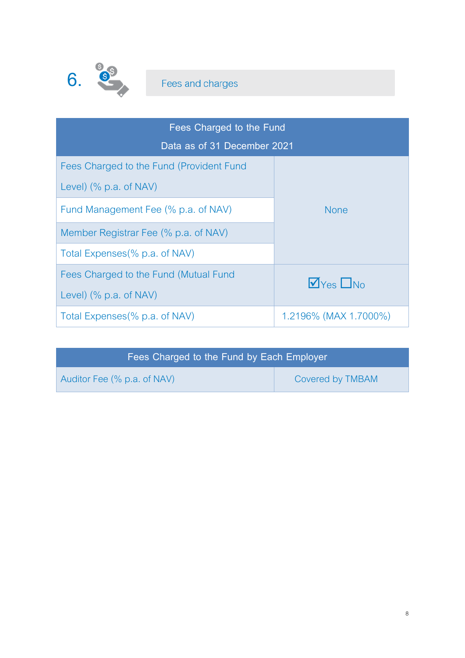

| Fees Charged to the Fund                 |                                         |  |
|------------------------------------------|-----------------------------------------|--|
| Data as of 31 December 2021              |                                         |  |
| Fees Charged to the Fund (Provident Fund |                                         |  |
| Level) $% p.a. of NAV$ )                 |                                         |  |
| Fund Management Fee (% p.a. of NAV)      | <b>None</b>                             |  |
| Member Registrar Fee (% p.a. of NAV)     |                                         |  |
| Total Expenses (% p.a. of NAV)           |                                         |  |
| Fees Charged to the Fund (Mutual Fund    | $\sqrt{v_{\text{res}}}\Box_{\text{No}}$ |  |
| Level) (% p.a. of NAV)                   |                                         |  |
| Total Expenses (% p.a. of NAV)           | 1.2196% (MAX 1.7000%)                   |  |

| Fees Charged to the Fund by Each Employer |                  |
|-------------------------------------------|------------------|
| Auditor Fee (% p.a. of NAV)               | Covered by TMBAM |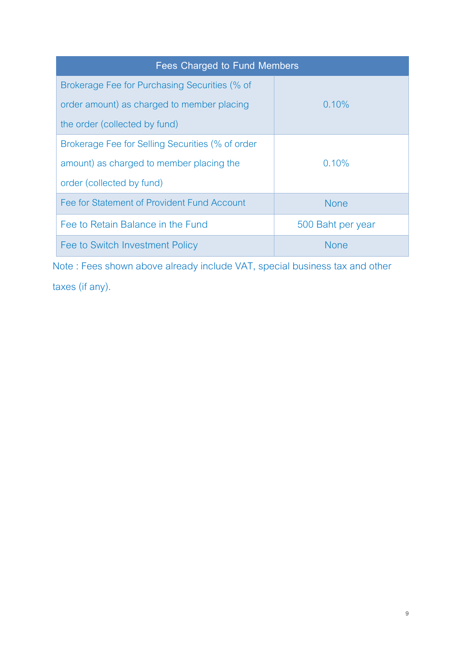| Fees Charged to Fund Members                     |                   |
|--------------------------------------------------|-------------------|
| Brokerage Fee for Purchasing Securities (% of    |                   |
| order amount) as charged to member placing       | $0.10\%$          |
| the order (collected by fund)                    |                   |
| Brokerage Fee for Selling Securities (% of order |                   |
| amount) as charged to member placing the         | $0.10\%$          |
| order (collected by fund)                        |                   |
| Fee for Statement of Provident Fund Account      | <b>None</b>       |
| Fee to Retain Balance in the Fund                | 500 Baht per year |
| Fee to Switch Investment Policy                  | <b>None</b>       |

Note : Fees shown above already include VAT, special business tax and other taxes (if any).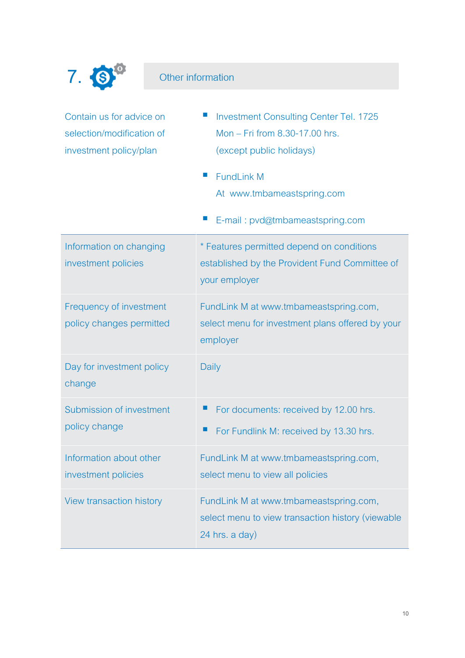

## Other information

| Contain us for advice on<br>selection/modification of<br>investment policy/plan | <b>Investment Consulting Center Tel. 1725</b><br>Mon - Fri from 8.30-17.00 hrs.<br>(except public holidays)<br><b>FundLink M</b><br>ш<br>At www.tmbameastspring.com<br>E-mail: pvd@tmbameastspring.com |
|---------------------------------------------------------------------------------|--------------------------------------------------------------------------------------------------------------------------------------------------------------------------------------------------------|
| Information on changing<br>investment policies                                  | * Features permitted depend on conditions<br>established by the Provident Fund Committee of<br>your employer                                                                                           |
| Frequency of investment<br>policy changes permitted                             | FundLink M at www.tmbameastspring.com,<br>select menu for investment plans offered by your<br>employer                                                                                                 |
| Day for investment policy<br>change                                             | Daily                                                                                                                                                                                                  |
| Submission of investment<br>policy change                                       | For documents: received by 12.00 hrs.<br>For Fundlink M: received by 13.30 hrs.                                                                                                                        |
| Information about other<br>investment policies                                  | FundLink M at www.tmbameastspring.com,<br>select menu to view all policies                                                                                                                             |
| <b>View transaction history</b>                                                 | FundLink M at www.tmbameastspring.com,<br>select menu to view transaction history (viewable<br>24 hrs. a day)                                                                                          |